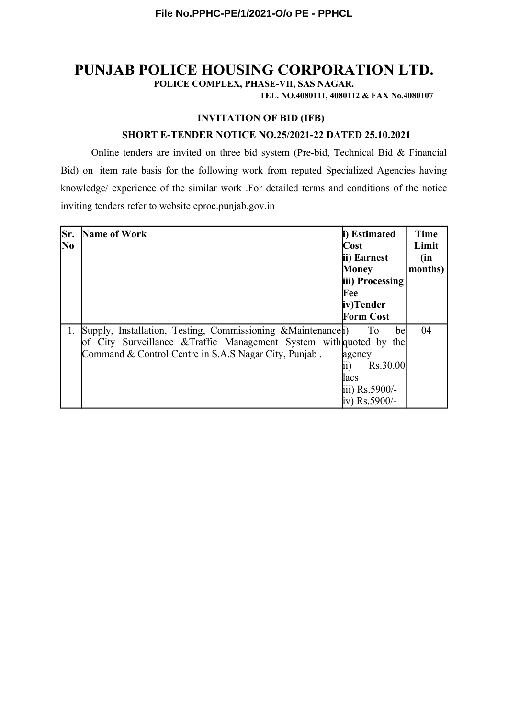# **PUNJAB POLICE HOUSING CORPORATION LTD.**

**POLICE COMPLEX, PHASE-VII, SAS NAGAR.**

**TEL. NO.4080111, 4080112 & FAX No.4080107**

# **INVITATION OF BID (IFB)**

## **SHORT E-TENDER NOTICE NO.25/2021-22 DATED 25.10.2021**

Online tenders are invited on three bid system (Pre-bid, Technical Bid & Financial Bid) on item rate basis for the following work from reputed Specialized Agencies having knowledge/ experience of the similar work .For detailed terms and conditions of the notice inviting tenders refer to website eproc.punjab.gov.in

| Sr.<br>No | Name of Work                                                                                                                                                                                  | i) Estimated<br>Cost<br>ii) Earnest<br>Money<br>iii) Processing<br>Fee<br>iv)Tender<br>Form Cost | <b>Time</b><br>Limit<br>(in<br>months) |
|-----------|-----------------------------------------------------------------------------------------------------------------------------------------------------------------------------------------------|--------------------------------------------------------------------------------------------------|----------------------------------------|
|           | 1. Supply, Installation, Testing, Commissioning & Maintenance<br>of City Surveillance & Traffic Management System with quoted by the<br>Command & Control Centre in S.A.S Nagar City, Punjab. | To<br>bel<br>agency<br>Rs.30.00<br>11 )<br>lacs<br>iii) $Rs.5900/-$<br>iv) Rs.5900/-             | 04                                     |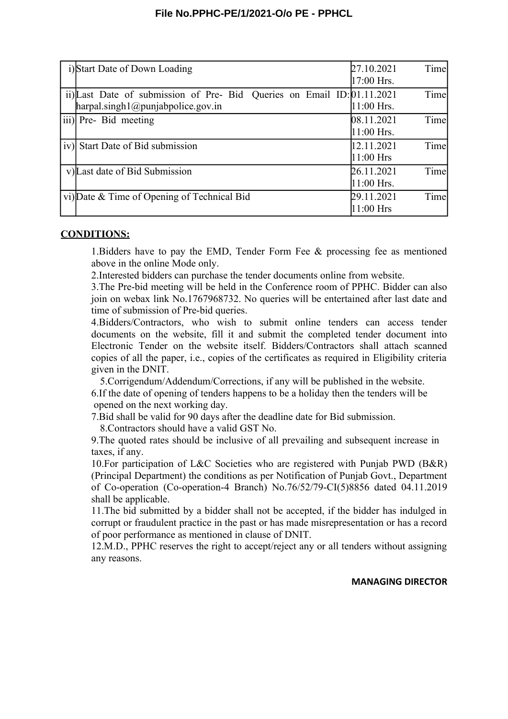| i)Start Date of Down Loading                                                                                  | Time<br>27.10.2021<br>17:00 Hrs.   |
|---------------------------------------------------------------------------------------------------------------|------------------------------------|
| ii) Last Date of submission of Pre- Bid Queries on Email ID: 01.11.2021<br>harpal.singh1@punjabpoleice.gov.in | Time<br>$11:00$ Hrs.               |
| iii) Pre- Bid meeting                                                                                         | Time<br>08.11.2021<br>$11:00$ Hrs. |
| iv) Start Date of Bid submission                                                                              | Time<br>12.11.2021<br>$11:00$ Hrs  |
| v) Last date of Bid Submission                                                                                | Time<br>26.11.2021<br>$11:00$ Hrs. |
| vi) Date & Time of Opening of Technical Bid                                                                   | Time<br>29.11.2021<br>$11:00$ Hrs  |

### **CONDITIONS:**

1.Bidders have to pay the EMD, Tender Form Fee & processing fee as mentioned above in the online Mode only.

2.Interested bidders can purchase the tender documents online from website.

3.The Pre-bid meeting will be held in the Conference room of PPHC. Bidder can also join on webax link No.1767968732. No queries will be entertained after last date and time of submission of Pre-bid queries.

4.Bidders/Contractors, who wish to submit online tenders can access tender documents on the website, fill it and submit the completed tender document into Electronic Tender on the website itself. Bidders/Contractors shall attach scanned copies of all the paper, i.e., copies of the certificates as required in Eligibility criteria given in the DNIT.

5.Corrigendum/Addendum/Corrections, if any will be published in the website. 6.If the date of opening of tenders happens to be a holiday then the tenders will be opened on the next working day.

7.Bid shall be valid for 90 days after the deadline date for Bid submission.

8.Contractors should have a valid GST No.

9.The quoted rates should be inclusive of all prevailing and subsequent increase in taxes, if any.

10.For participation of L&C Societies who are registered with Punjab PWD (B&R) (Principal Department) the conditions as per Notification of Punjab Govt., Department of Co-operation (Co-operation-4 Branch) No.76/52/79-CI(5)8856 dated 04.11.2019 shall be applicable.

11.The bid submitted by a bidder shall not be accepted, if the bidder has indulged in corrupt or fraudulent practice in the past or has made misrepresentation or has a record of poor performance as mentioned in clause of DNIT.

12.M.D., PPHC reserves the right to accept/reject any or all tenders without assigning any reasons.

#### **MANAGING DIRECTOR**